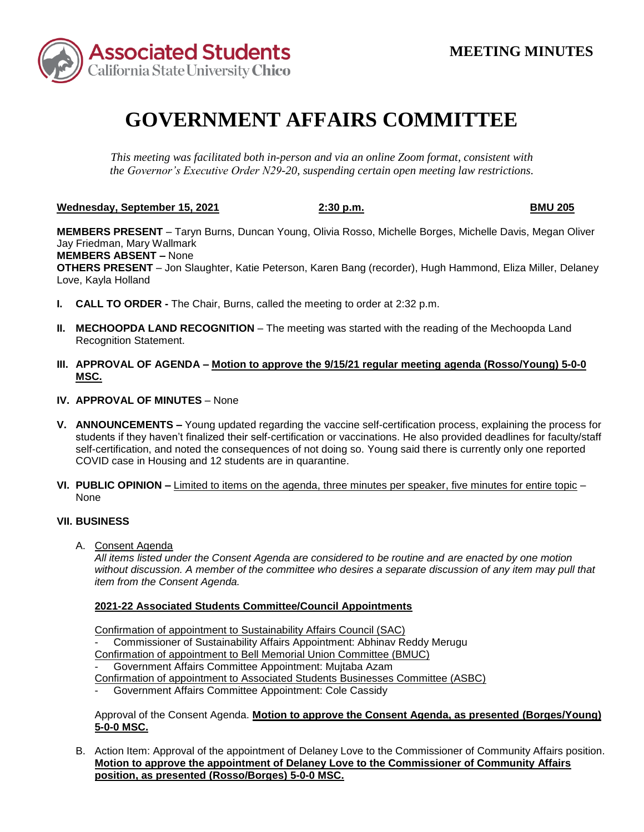

## **GOVERNMENT AFFAIRS COMMITTEE**

*This meeting was facilitated both in-person and via an online Zoom format, consistent with the Governor's Executive Order N29-20, suspending certain open meeting law restrictions.* 

**Wednesday, September 15, 2021 2:30 p.m. BMU 205** 

**MEMBERS PRESENT** – Taryn Burns, Duncan Young, Olivia Rosso, Michelle Borges, Michelle Davis, Megan Oliver Jay Friedman, Mary Wallmark

 **MEMBERS ABSENT –** None

**OTHERS PRESENT** – Jon Slaughter, Katie Peterson, Karen Bang (recorder), Hugh Hammond, Eliza Miller, Delaney Love, Kayla Holland

- **I. CALL TO ORDER -** The Chair, Burns, called the meeting to order at 2:32 p.m.
- **II. MECHOOPDA LAND RECOGNITION**  The meeting was started with the reading of the Mechoopda Land Recognition Statement.
- **III. APPROVAL OF AGENDA – Motion to approve the 9/15/21 regular meeting agenda (Rosso/Young) 5-0-0 MSC.**
- **IV. APPROVAL OF MINUTES**  None
- self-certification, and noted the consequences of not doing so. Young said there is currently only one reported **V. ANNOUNCEMENTS –** Young updated regarding the vaccine self-certification process, explaining the process for students if they haven't finalized their self-certification or vaccinations. He also provided deadlines for faculty/staff COVID case in Housing and 12 students are in quarantine.
- **VI. PUBLIC OPINION –** Limited to items on the agenda, three minutes per speaker, five minutes for entire topic None

## **VII. BUSINESS**

A. Consent Agenda

*All items listed under the Consent Agenda are considered to be routine and are enacted by one motion without discussion. A member of the committee who desires a separate discussion of any item may pull that item from the Consent Agenda.* 

## **2021-22 Associated Students Committee/Council Appointments**

Confirmation of appointment to Sustainability Affairs Council (SAC) Confirmation of appointment to Sustainability Affairs Council (SAC)<br>- Commissioner of Sustainability Affairs Appointment: Abhinav Reddy Merugu Confirmation of appointment to Bell Memorial Union Committee (BMUC) - Government Affairs Committee Appointment: Mujtaba Azam

Confirmation of appointment to Associated Students Businesses Committee (ASBC)

- Government Affairs Committee Appointment: Cole Cassidy

Approval of the Consent Agenda. **Motion to approve the Consent Agenda, as presented (Borges/Young) 5-0-0 MSC.** 

B. Action Item: Approval of the appointment of Delaney Love to the Commissioner of Community Affairs position. **Motion to approve the appointment of Delaney Love to the Commissioner of Community Affairs position, as presented (Rosso/Borges) 5-0-0 MSC.**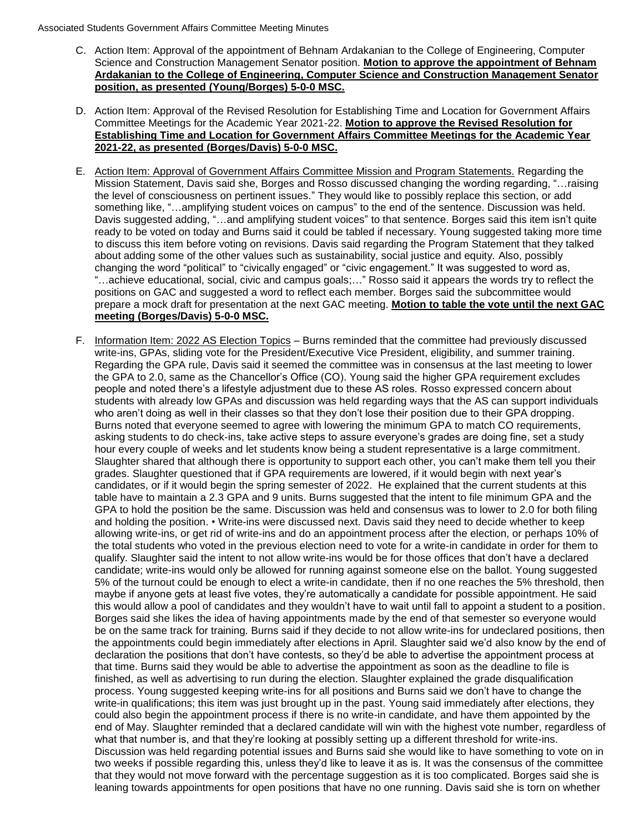## Associated Students Government Affairs Committee Meeting Minutes

- C. Action Item: Approval of the appointment of Behnam Ardakanian to the College of Engineering, Computer Science and Construction Management Senator position. **Motion to approve the appointment of Behnam Ardakanian to the College of Engineering, Computer Science and Construction Management Senator position, as presented (Young/Borges) 5-0-0 MSC.**
- D. Action Item: Approval of the Revised Resolution for Establishing Time and Location for Government Affairs Committee Meetings for the Academic Year 2021-22. **Motion to approve the Revised Resolution for Establishing Time and Location for Government Affairs Committee Meetings for the Academic Year 2021-22, as presented (Borges/Davis) 5-0-0 MSC.**
- E. Action Item: Approval of Government Affairs Committee Mission and Program Statements. Regarding the Mission Statement, Davis said she, Borges and Rosso discussed changing the wording regarding, "…raising ready to be voted on today and Burns said it could be tabled if necessary. Young suggested taking more time "…achieve educational, social, civic and campus goals;…" Rosso said it appears the words try to reflect the the level of consciousness on pertinent issues." They would like to possibly replace this section, or add something like, "…amplifying student voices on campus" to the end of the sentence. Discussion was held. Davis suggested adding, "…and amplifying student voices" to that sentence. Borges said this item isn't quite to discuss this item before voting on revisions. Davis said regarding the Program Statement that they talked about adding some of the other values such as sustainability, social justice and equity. Also, possibly changing the word "political" to "civically engaged" or "civic engagement." It was suggested to word as, positions on GAC and suggested a word to reflect each member. Borges said the subcommittee would prepare a mock draft for presentation at the next GAC meeting. **Motion to table the vote until the next GAC meeting (Borges/Davis) 5-0-0 MSC.**
- F. Information Item: 2022 AS Election Topics Burns reminded that the committee had previously discussed who aren't doing as well in their classes so that they don't lose their position due to their GPA dropping. Slaughter shared that although there is opportunity to support each other, you can't make them tell you their candidates, or if it would begin the spring semester of 2022. He explained that the current students at this GPA to hold the position be the same. Discussion was held and consensus was to lower to 2.0 for both filing allowing write-ins, or get rid of write-ins and do an appointment process after the election, or perhaps 10% of maybe if anyone gets at least five votes, they're automatically a candidate for possible appointment. He said the appointments could begin immediately after elections in April. Slaughter said we'd also know by the end of that time. Burns said they would be able to advertise the appointment as soon as the deadline to file is finished, as well as advertising to run during the election. Slaughter explained the grade disqualification could also begin the appointment process if there is no write-in candidate, and have them appointed by the end of May. Slaughter reminded that a declared candidate will win with the highest vote number, regardless of what that number is, and that they're looking at possibly setting up a different threshold for write-ins. Discussion was held regarding potential issues and Burns said she would like to have something to vote on in write-ins, GPAs, sliding vote for the President/Executive Vice President, eligibility, and summer training. Regarding the GPA rule, Davis said it seemed the committee was in consensus at the last meeting to lower the GPA to 2.0, same as the Chancellor's Office (CO). Young said the higher GPA requirement excludes people and noted there's a lifestyle adjustment due to these AS roles. Rosso expressed concern about students with already low GPAs and discussion was held regarding ways that the AS can support individuals Burns noted that everyone seemed to agree with lowering the minimum GPA to match CO requirements, asking students to do check-ins, take active steps to assure everyone's grades are doing fine, set a study hour every couple of weeks and let students know being a student representative is a large commitment. grades. Slaughter questioned that if GPA requirements are lowered, if it would begin with next year's table have to maintain a 2.3 GPA and 9 units. Burns suggested that the intent to file minimum GPA and the and holding the position. • Write-ins were discussed next. Davis said they need to decide whether to keep the total students who voted in the previous election need to vote for a write-in candidate in order for them to qualify. Slaughter said the intent to not allow write-ins would be for those offices that don't have a declared candidate; write-ins would only be allowed for running against someone else on the ballot. Young suggested 5% of the turnout could be enough to elect a write-in candidate, then if no one reaches the 5% threshold, then this would allow a pool of candidates and they wouldn't have to wait until fall to appoint a student to a position. Borges said she likes the idea of having appointments made by the end of that semester so everyone would be on the same track for training. Burns said if they decide to not allow write-ins for undeclared positions, then declaration the positions that don't have contests, so they'd be able to advertise the appointment process at process. Young suggested keeping write-ins for all positions and Burns said we don't have to change the write-in qualifications; this item was just brought up in the past. Young said immediately after elections, they two weeks if possible regarding this, unless they'd like to leave it as is. It was the consensus of the committee that they would not move forward with the percentage suggestion as it is too complicated. Borges said she is leaning towards appointments for open positions that have no one running. Davis said she is torn on whether